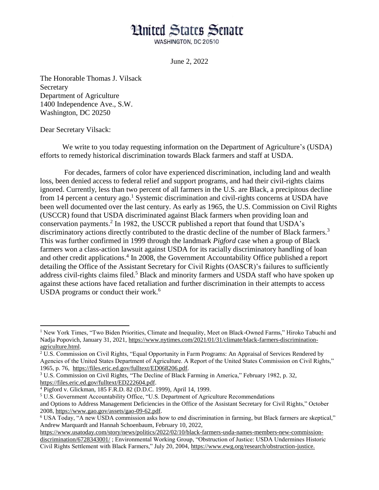## **Hnited States Senate**

WASHINGTON, DC 20510

June 2, 2022

The Honorable Thomas J. Vilsack Secretary Department of Agriculture 1400 Independence Ave., S.W. Washington, DC 20250

## Dear Secretary Vilsack:

 $\overline{a}$ 

We write to you today requesting information on the Department of Agriculture's (USDA) efforts to remedy historical discrimination towards Black farmers and staff at USDA.

For decades, farmers of color have experienced discrimination, including land and wealth loss, been denied access to federal relief and support programs, and had their civil-rights claims ignored. Currently, less than two percent of all farmers in the U.S. are Black, a precipitous decline from 14 percent a century ago.<sup>1</sup> Systemic discrimination and civil-rights concerns at USDA have been well documented over the last century. As early as 1965, the U.S. Commission on Civil Rights (USCCR) found that USDA discriminated against Black farmers when providing loan and conservation payments.<sup>2</sup> In 1982, the USCCR published a report that found that USDA's discriminatory actions directly contributed to the drastic decline of the number of Black farmers.<sup>3</sup> This was further confirmed in 1999 through the landmark *Pigford* case when a group of Black farmers won a class-action lawsuit against USDA for its racially discriminatory handling of loan and other credit applications.<sup>4</sup> In 2008, the Government Accountability Office published a report detailing the Office of the Assistant Secretary for Civil Rights (OASCR)'s failures to sufficiently address civil-rights claims filed.<sup>5</sup> Black and minority farmers and USDA staff who have spoken up against these actions have faced retaliation and further discrimination in their attempts to access USDA programs or conduct their work. $6$ 

<sup>&</sup>lt;sup>1</sup> New York Times, "Two Biden Priorities, Climate and Inequality, Meet on Black-Owned Farms," Hiroko Tabuchi and Nadja Popovich, January 31, 2021, [https://www.nytimes.com/2021/01/31/climate/black-farmers-discrimination](https://www.nytimes.com/2021/01/31/climate/black-farmers-discrimination-agriculture.html)[agriculture.html.](https://www.nytimes.com/2021/01/31/climate/black-farmers-discrimination-agriculture.html)

 $2\overline{U}$ .S. Commission on Civil Rights, "Equal Opportunity in Farm Programs: An Appraisal of Services Rendered by Agencies of the United States Department of Agriculture. A Report of the United States Commission on Civil Rights," 1965, p. 76, [https://files.eric.ed.gov/fulltext/ED068206.pdf.](https://files.eric.ed.gov/fulltext/ED068206.pdf)

<sup>3</sup> U.S. Commission on Civil Rights, "The Decline of Black Farming in America," February 1982, p. 32, [https://files.eric.ed.gov/fulltext/ED222604.pdf.](https://files.eric.ed.gov/fulltext/ED222604.pdf)

<sup>4</sup> Pigford v. Glickman, 185 F.R.D. 82 (D.D.C. 1999), April 14, 1999.

<sup>5</sup> U.S. Government Accountability Office, "U.S. Department of Agriculture Recommendations and Options to Address Management Deficiencies in the Office of the Assistant Secretary for Civil Rights," October 2008, [https://www.gao.gov/assets/gao-09-62.pdf.](https://www.gao.gov/assets/gao-09-62.pdf)

<sup>6</sup> USA Today, "A new USDA commission asks how to end discrimination in farming, but Black farmers are skeptical," Andrew Marquardt and Hannah Schoenbaum, February 10, 2022,

[https://www.usatoday.com/story/news/politics/2022/02/10/black-farmers-usda-names-members-new-commission](https://www.usatoday.com/story/news/politics/2022/02/10/black-farmers-usda-names-members-new-commission-discrimination/6728343001/)[discrimination/6728343001/](https://www.usatoday.com/story/news/politics/2022/02/10/black-farmers-usda-names-members-new-commission-discrimination/6728343001/) ; Environmental Working Group, "Obstruction of Justice: USDA Undermines Historic Civil Rights Settlement with Black Farmers," July 20, 2004, [https://www.ewg.org/research/obstruction-justice.](https://www.ewg.org/research/obstruction-justice)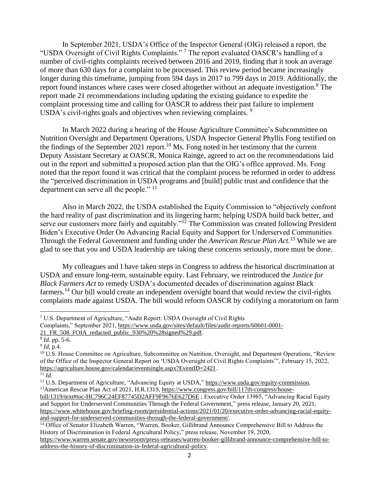In September 2021, USDA's Office of the Inspector General (OIG) released a report, the "USDA Oversight of Civil Rights Complaints." <sup>7</sup> The report evaluated OASCR's handling of a number of civil-rights complaints received between 2016 and 2019, finding that it took an average of more than 630 days for a complaint to be processed. This review period became increasingly longer during this timeframe, jumping from 594 days in 2017 to 799 days in 2019. Additionally, the report found instances where cases were closed altogether without an adequate investigation.<sup>8</sup> The report made 21 recommendations including updating the existing guidance to expedite the complaint processing time and calling for OASCR to address their past failure to implement USDA's civil-rights goals and objectives when reviewing complaints. <sup>9</sup>

In March 2022 during a hearing of the House Agriculture Committee's Subcommittee on Nutrition Oversight and Department Operations, USDA Inspector General Phyllis Fong testified on the findings of the September 2021 report.<sup>10</sup> Ms. Fong noted in her testimony that the current Deputy Assistant Secretary at OASCR, Monica Rainge, agreed to act on the recommendations laid out in the report and submitted a proposed action plan that the OIG's office approved. Ms. Fong noted that the report found it was critical that the complaint process be reformed in order to address the "perceived discrimination in USDA programs and [build] public trust and confidence that the department can serve all the people."  $11$ 

Also in March 2022, the USDA established the Equity Commission to "objectively confront the hard reality of past discrimination and its lingering harm; helping USDA build back better, and serve our customers more fairly and equitably."<sup>12</sup> The Commission was created following President Biden's Executive Order On Advancing Racial Equity and Support for Underserved Communities Through the Federal Government and funding under the *American Rescue Plan Act*. <sup>13</sup> While we are glad to see that you and USDA leadership are taking these concerns seriously, more must be done.

My colleagues and I have taken steps in Congress to address the historical discrimination at USDA and ensure long-term, sustainable equity. Last February, we reintroduced the *Justice for Black Farmers Act* to remedy USDA's documented decades of discrimination against Black farmers.<sup>14</sup> Our bill would create an independent oversight board that would review the civil-rights complaints made against USDA. The bill would reform OASCR by codifying a moratorium on farm

 $\ddot{\phantom{a}}$ 

<sup>7</sup> U.S. Department of Agriculture, "Audit Report: USDA Oversight of Civil Rights

Complaints," September 2021[, https://www.usda.gov/sites/default/files/audit-reports/60601-0001-](https://www.usda.gov/sites/default/files/audit-reports/60601-0001-21_FR_508_FOIA_redacted_public_930%20%28signed%29.pdf)

[<sup>21</sup>\\_FR\\_508\\_FOIA\\_redacted\\_public\\_930%20%28signed%29.pdf.](https://www.usda.gov/sites/default/files/audit-reports/60601-0001-21_FR_508_FOIA_redacted_public_930%20%28signed%29.pdf)

<sup>8</sup> *Id.* pp. 5-6.

<sup>9</sup> *Id*, p.4*.* 

<sup>&</sup>lt;sup>10</sup> U.S. House Committee on Agriculture, Subcommittee on Nutrition, Oversight, and Department Operations, "Review of the Office of the Inspector General Report on 'USDA Oversight of Civil Rights Complaints'", February 15, 2022, [https://agriculture.house.gov/calendar/eventsingle.aspx?EventID=2421.](https://agriculture.house.gov/calendar/eventsingle.aspx?EventID=2421)

 $^{11}$ *Id.* 

<sup>&</sup>lt;sup>12</sup> U.S. Department of Agriculture, "Advancing Equity at USDA," [https://www.usda.gov/equity-commission.](https://www.usda.gov/equity-commission) <sup>13</sup>American Rescue Plan Act of 2021, H.R.1319, [https://www.congress.gov/bill/117th-congress/house-](https://www.congress.gov/bill/117th-congress/house-bill/1319/text#toc-HC796C24EF87745D2AFF9F9676E627D6E)

[bill/1319/text#toc-HC796C24EF87745D2AFF9F9676E627D6E](https://www.congress.gov/bill/117th-congress/house-bill/1319/text#toc-HC796C24EF87745D2AFF9F9676E627D6E) ; Executive Order 13985, "Advancing Racial Equity and Support for Underserved Communities Through the Federal Government," press release, January 20, 2021, [https://www.whitehouse.gov/briefing-room/presidential-actions/2021/01/20/executive-order-advancing-racial-equity](https://www.whitehouse.gov/briefing-room/presidential-actions/2021/01/20/executive-order-advancing-racial-equity-and-support-for-underserved-communities-through-the-federal-government/)[and-support-for-underserved-communities-through-the-federal-government/.](https://www.whitehouse.gov/briefing-room/presidential-actions/2021/01/20/executive-order-advancing-racial-equity-and-support-for-underserved-communities-through-the-federal-government/)

<sup>&</sup>lt;sup>14</sup> Office of Senator Elizabeth Warren, "Warren, Booker, Gillibrand Announce Comprehensive Bill to Address the History of Discrimination in Federal Agricultural Policy," press release, November 19, 2020,

[https://www.warren.senate.gov/newsroom/press-releases/warren-booker-gillibrand-announce-comprehensive-bill-to](https://www.warren.senate.gov/newsroom/press-releases/warren-booker-gillibrand-announce-comprehensive-bill-to-address-the-history-of-discrimination-in-federal-agricultural-policy)[address-the-history-of-discrimination-in-federal-agricultural-policy.](https://www.warren.senate.gov/newsroom/press-releases/warren-booker-gillibrand-announce-comprehensive-bill-to-address-the-history-of-discrimination-in-federal-agricultural-policy)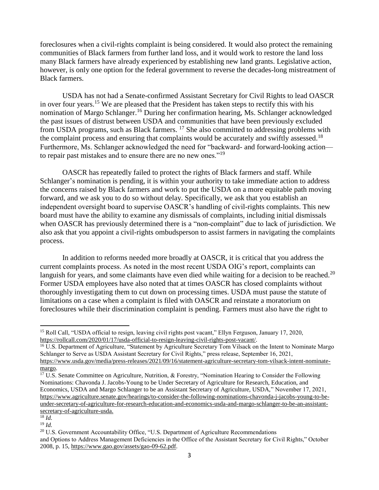foreclosures when a civil-rights complaint is being considered. It would also protect the remaining communities of Black farmers from further land loss, and it would work to restore the land loss many Black farmers have already experienced by establishing new land grants. Legislative action, however, is only one option for the federal government to reverse the decades-long mistreatment of Black farmers.

USDA has not had a Senate-confirmed Assistant Secretary for Civil Rights to lead OASCR in over four years.<sup>15</sup> We are pleased that the President has taken steps to rectify this with his nomination of Margo Schlanger.<sup>16</sup> During her confirmation hearing, Ms. Schlanger acknowledged the past issues of distrust between USDA and communities that have been previously excluded from USDA programs, such as Black farmers.  $^{17}$  She also committed to addressing problems with the complaint process and ensuring that complaints would be accurately and swiftly assessed.<sup>18</sup> Furthermore, Ms. Schlanger acknowledged the need for "backward- and forward-looking action to repair past mistakes and to ensure there are no new ones."<sup>19</sup>

OASCR has repeatedly failed to protect the rights of Black farmers and staff. While Schlanger's nomination is pending, it is within your authority to take immediate action to address the concerns raised by Black farmers and work to put the USDA on a more equitable path moving forward, and we ask you to do so without delay. Specifically, we ask that you establish an independent oversight board to supervise OASCR's handling of civil-rights complaints. This new board must have the ability to examine any dismissals of complaints, including initial dismissals when OASCR has previously determined there is a "non-complaint" due to lack of jurisdiction. We also ask that you appoint a civil-rights ombudsperson to assist farmers in navigating the complaints process.

In addition to reforms needed more broadly at OASCR, it is critical that you address the current complaints process. As noted in the most recent USDA OIG's report, complaints can languish for years, and some claimants have even died while waiting for a decision to be reached.<sup>20</sup> Former USDA employees have also noted that at times OASCR has closed complaints without thoroughly investigating them to cut down on processing times. USDA must pause the statute of limitations on a case when a complaint is filed with OASCR and reinstate a moratorium on foreclosures while their discrimination complaint is pending. Farmers must also have the right to

 $\overline{a}$ 

<sup>&</sup>lt;sup>15</sup> Roll Call, "USDA official to resign, leaving civil rights post vacant," Ellyn Ferguson, January 17, 2020, [https://rollcall.com/2020/01/17/usda-official-to-resign-leaving-civil-rights-post-vacant/.](https://rollcall.com/2020/01/17/usda-official-to-resign-leaving-civil-rights-post-vacant/)

<sup>&</sup>lt;sup>16</sup> U.S. Department of Agriculture, "Statement by Agriculture Secretary Tom Vilsack on the Intent to Nominate Margo Schlanger to Serve as USDA Assistant Secretary for Civil Rights," press release, September 16, 2021, [https://www.usda.gov/media/press-releases/2021/09/16/statement-agriculture-secretary-tom-vilsack-intent-nominate](https://www.usda.gov/media/press-releases/2021/09/16/statement-agriculture-secretary-tom-vilsack-intent-nominate-margo)[margo.](https://www.usda.gov/media/press-releases/2021/09/16/statement-agriculture-secretary-tom-vilsack-intent-nominate-margo)

<sup>&</sup>lt;sup>17</sup> U.S. Senate Committee on Agriculture, Nutrition, & Forestry, "Nomination Hearing to Consider the Following Nominations: Chavonda J. Jacobs-Young to be Under Secretary of Agriculture for Research, Education, and Economics, USDA and Margo Schlanger to be an Assistant Secretary of Agriculture, USDA," November 17, 2021, [https://www.agriculture.senate.gov/hearings/to-consider-the-following-nominations-chavonda-j-jacobs-young-to-be](https://www.agriculture.senate.gov/hearings/to-consider-the-following-nominations-chavonda-j-jacobs-young-to-be-under-secretary-of-agriculture-for-research-education-and-economics-usda-and-margo-schlanger-to-be-an-assistant-secretary-of-agriculture-usda)[under-secretary-of-agriculture-for-research-education-and-economics-usda-and-margo-schlanger-to-be-an-assistant](https://www.agriculture.senate.gov/hearings/to-consider-the-following-nominations-chavonda-j-jacobs-young-to-be-under-secretary-of-agriculture-for-research-education-and-economics-usda-and-margo-schlanger-to-be-an-assistant-secretary-of-agriculture-usda)[secretary-of-agriculture-usda.](https://www.agriculture.senate.gov/hearings/to-consider-the-following-nominations-chavonda-j-jacobs-young-to-be-under-secretary-of-agriculture-for-research-education-and-economics-usda-and-margo-schlanger-to-be-an-assistant-secretary-of-agriculture-usda)

 $^{18}$  *Id.* <sup>19</sup> *Id.* 

<sup>&</sup>lt;sup>20</sup> U.S. Government Accountability Office, "U.S. Department of Agriculture Recommendations and Options to Address Management Deficiencies in the Office of the Assistant Secretary for Civil Rights," October 2008, p. 15, [https://www.gao.gov/assets/gao-09-62.pdf.](https://www.gao.gov/assets/gao-09-62.pdf)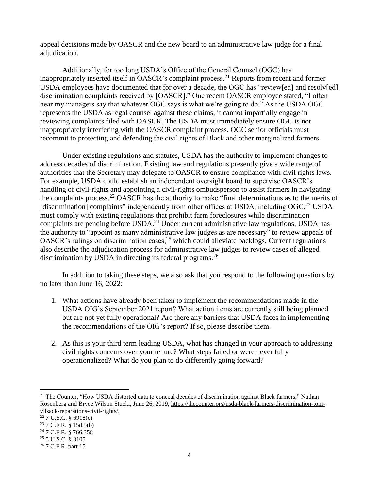appeal decisions made by OASCR and the new board to an administrative law judge for a final adjudication.

Additionally, for too long USDA's Office of the General Counsel (OGC) has inappropriately inserted itself in OASCR's complaint process.<sup>21</sup> Reports from recent and former USDA employees have documented that for over a decade, the OGC has "review[ed] and resolv[ed] discrimination complaints received by [OASCR]." One recent OASCR employee stated, "I often hear my managers say that whatever OGC says is what we're going to do." As the USDA OGC represents the USDA as legal counsel against these claims, it cannot impartially engage in reviewing complaints filed with OASCR. The USDA must immediately ensure OGC is not inappropriately interfering with the OASCR complaint process. OGC senior officials must recommit to protecting and defending the civil rights of Black and other marginalized farmers.

Under existing regulations and statutes, USDA has the authority to implement changes to address decades of discrimination. Existing law and regulations presently give a wide range of authorities that the Secretary may delegate to OASCR to ensure compliance with civil rights laws. For example, USDA could establish an independent oversight board to supervise OASCR's handling of civil-rights and appointing a civil-rights ombudsperson to assist farmers in navigating the complaints process.<sup>22</sup> OASCR has the authority to make "final determinations as to the merits of [discrimination] complaints" independently from other offices at USDA, including OGC.<sup>23</sup> USDA must comply with existing regulations that prohibit farm foreclosures while discrimination complaints are pending before USDA.<sup>24</sup> Under current administrative law regulations, USDA has the authority to "appoint as many administrative law judges as are necessary" to review appeals of OASCR's rulings on discrimination cases,  $25$  which could alleviate backlogs. Current regulations also describe the adjudication process for administrative law judges to review cases of alleged discrimination by USDA in directing its federal programs.<sup>26</sup>

In addition to taking these steps, we also ask that you respond to the following questions by no later than June 16, 2022:

- 1. What actions have already been taken to implement the recommendations made in the USDA OIG's September 2021 report? What action items are currently still being planned but are not yet fully operational? Are there any barriers that USDA faces in implementing the recommendations of the OIG's report? If so, please describe them.
- 2. As this is your third term leading USDA, what has changed in your approach to addressing civil rights concerns over your tenure? What steps failed or were never fully operationalized? What do you plan to do differently going forward?

 $\overline{a}$ 

<sup>&</sup>lt;sup>21</sup> The Counter, "How USDA distorted data to conceal decades of discrimination against Black farmers," Nathan Rosenberg and Bryce Wilson Stucki, June 26, 2019, [https://thecounter.org/usda-black-farmers-discrimination-tom](https://thecounter.org/usda-black-farmers-discrimination-tom-vilsack-reparations-civil-rights/)[vilsack-reparations-civil-rights/.](https://thecounter.org/usda-black-farmers-discrimination-tom-vilsack-reparations-civil-rights/)

 $22$  7 U.S.C. § 6918(c)

 $23$  7 C.F.R. § 15d.5(b)

<sup>24</sup> 7 C.F.R. § 766.358

<sup>25</sup> 5 U.S.C. § 3105

<sup>26</sup> 7 C.F.R. part 15